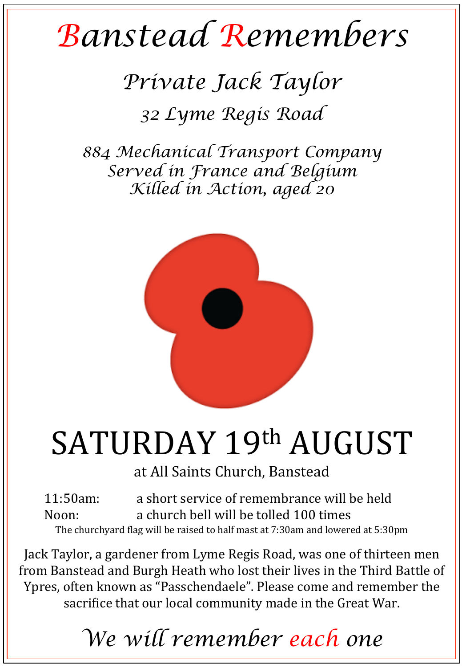## *Banstead Remembers*

## *Private Jack Taylor*

*32 Lyme Regis Road* 

*884 Mechanical Transport Company Served in France and Belgium Killed in Action, aged 20* 



## SATURDAY 19th AUGUST

at All Saints Church, Banstead

11:50am: a short service of remembrance will be held Noon: a church bell will be tolled 100 times The churchyard flag will be raised to half mast at 7:30am and lowered at 5:30pm

Jack Taylor, a gardener from Lyme Regis Road, was one of thirteen men from Banstead and Burgh Heath who lost their lives in the Third Battle of Ypres, often known as "Passchendaele". Please come and remember the sacrifice that our local community made in the Great War.

*We will remember each one*